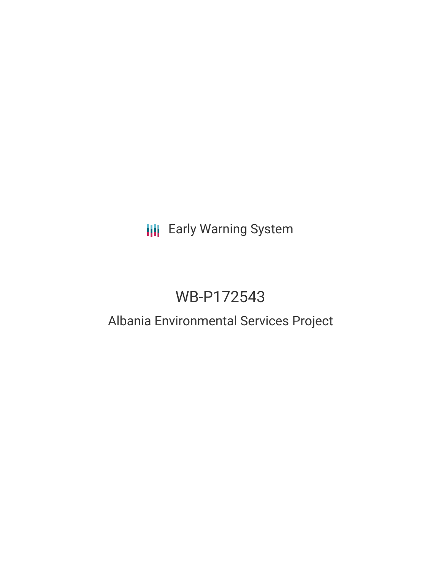# **III** Early Warning System

# WB-P172543

# Albania Environmental Services Project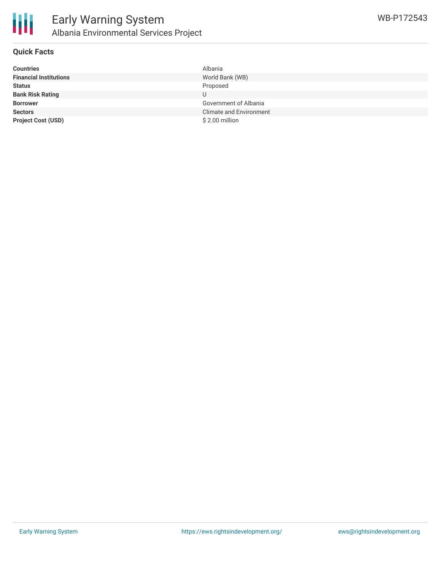

#### **Quick Facts**

| <b>Countries</b>              | Albania                        |
|-------------------------------|--------------------------------|
| <b>Financial Institutions</b> | World Bank (WB)                |
| <b>Status</b>                 | Proposed                       |
| <b>Bank Risk Rating</b>       | U                              |
| <b>Borrower</b>               | Government of Albania          |
| <b>Sectors</b>                | <b>Climate and Environment</b> |
| <b>Project Cost (USD)</b>     | \$2.00 million                 |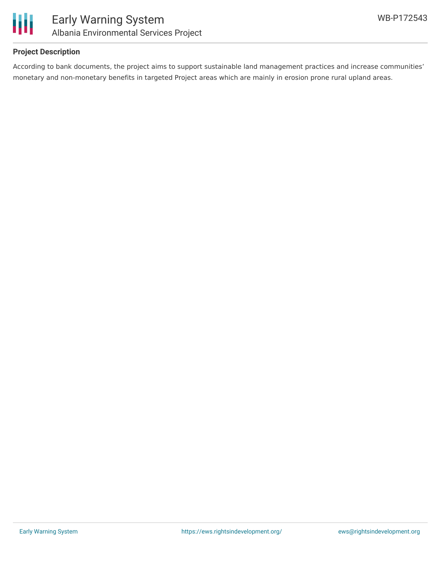

### **Project Description**

According to bank documents, the project aims to support sustainable land management practices and increase communities' monetary and non-monetary benefits in targeted Project areas which are mainly in erosion prone rural upland areas.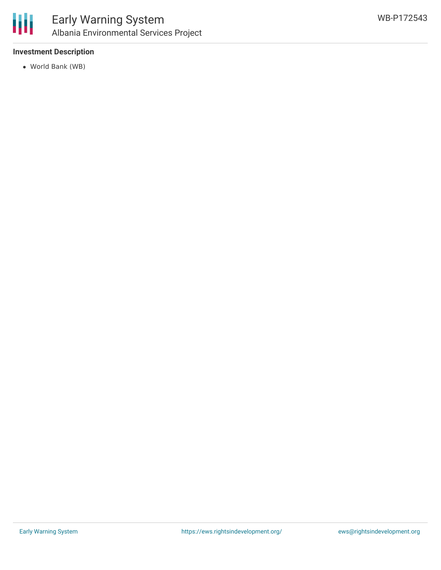

### **Investment Description**

World Bank (WB)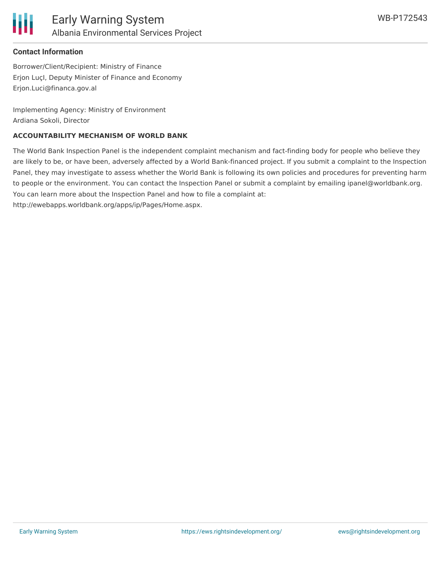

#### **Contact Information**

Borrower/Client/Recipient: Ministry of Finance Erjon LuçI, Deputy Minister of Finance and Economy Erjon.Luci@financa.gov.al

Implementing Agency: Ministry of Environment Ardiana Sokoli, Director

#### **ACCOUNTABILITY MECHANISM OF WORLD BANK**

The World Bank Inspection Panel is the independent complaint mechanism and fact-finding body for people who believe they are likely to be, or have been, adversely affected by a World Bank-financed project. If you submit a complaint to the Inspection Panel, they may investigate to assess whether the World Bank is following its own policies and procedures for preventing harm to people or the environment. You can contact the Inspection Panel or submit a complaint by emailing ipanel@worldbank.org. You can learn more about the Inspection Panel and how to file a complaint at: http://ewebapps.worldbank.org/apps/ip/Pages/Home.aspx.